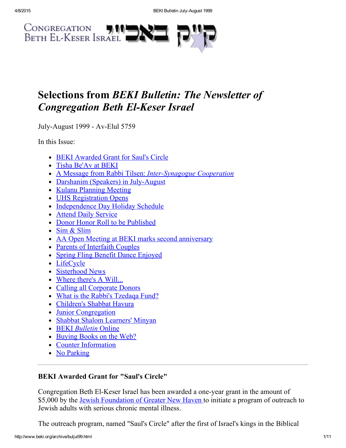

# Selections from BEKI Bulletin: The Newsletter of **Congregation Beth El-Keser Israel**

July-August 1999 - Av-Elul 5759

In this Issue:

- BEKI [Awarded](#page-0-0) Grant for Saul's Circle
- Tisha [Be'Av](#page-1-0) at BEKI
- A Message from Rabbi Tilsen: Inter-Synagogue Cooperation
- Darshanim (Speakers) in July-August
- Kulanu [Planning](#page-3-1) Meeting
- UHS [Registration](#page-4-0) Opens
- [Independence](#page-5-2) Day Holiday Schedule
- Attend Daily [Service](#page-5-0)
- Donor Honor Roll to be [Published](#page-5-1)
- Sim & [Slim](#page-5-3)
- AA Open Meeting at BEKI marks second [anniversary](#page-6-0)
- Parents of [Interfaith](#page-6-3) Couples
- Spring Fling Benefit Dance [Enjoyed](#page-6-2)
- [LifeCycle](#page-6-1)
- [Sisterhood](#page-7-0) News
- [Where](#page-7-2) there's A Will...
- Calling all [Corporate](#page-7-1) Donors
- What is the Rabbi's [Tzedaqa](#page-8-0) Fund?
- [Children's](#page-8-2) Shabbat Havura
- Junior [Congregation](#page-8-3)
- Shabbat Shalom [Learners'](#page-8-1) Minyan
- BEKI [Bulletin](#page-9-1) Online
- [Buying](#page-9-3) Books on the Web?
- Counter [Information](#page-9-0)
- No [Parking](#page-9-2)

## <span id="page-0-0"></span>BEKI Awarded Grant for "Saul's Circle"

Congregation Beth El-Keser Israel has been awarded a one-year grant in the amount of \$5,000 by the Jewish [Foundation](http://www.jewishnewhaven.org/FOUNDTN.htm) of Greater New Haven to initiate a program of outreach to Jewish adults with serious chronic mental illness.

The outreach program, named "Saul's Circle" after the first of Israel's kings in the Biblical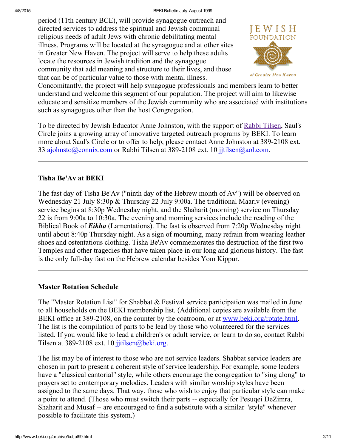#### 4/8/2015 BEKI Bulletin JulyAugust 1999

period (11th century BCE), will provide synagogue outreach and directed services to address the spiritual and Jewish communal religious needs of adult Jews with chronic debilitating mental illness. Programs will be located at the synagogue and at other sites in Greater New Haven. The project will serve to help these adults locate the resources in Jewish tradition and the synagogue community that add meaning and structure to their lives, and those that can be of particular value to those with mental illness.



of Greater New Haven

Concomitantly, the project will help synagogue professionals and members learn to better understand and welcome this segment of our population. The project will aim to likewise educate and sensitize members of the Jewish community who are associated with institutions such as synagogues other than the host Congregation.

To be directed by Jewish Educator Anne Johnston, with the support of Rabbi [Tilsen,](http://www.beki.org/archive/tilsen.html) Saul's Circle joins a growing array of innovative targeted outreach programs by BEKI. To learn more about Saul's Circle or to offer to help, please contact Anne Johnston at 389-2108 ext. 33 [ajohnsto@connix.com](mailto:ajohnsto@connix.com) or Rabbi Tilsen at 389-2108 ext. 10 [jjtilsen@aol.com.](mailto:jjtilsen@aol.com)

### <span id="page-1-0"></span>Tisha Be'Av at BEKI

The fast day of Tisha Be'Av ("ninth day of the Hebrew month of Av") will be observed on Wednesday 21 July 8:30p & Thursday 22 July 9:00a. The traditional Maariv (evening) service begins at 8:30p Wednesday night, and the Shaharit (morning) service on Thursday 22 is from 9:00a to 10:30a. The evening and morning services include the reading of the Biblical Book of **Eikha** (Lamentations). The fast is observed from 7:20p Wednesday night until about 8:40p Thursday night. As a sign of mourning, many refrain from wearing leather shoes and ostentatious clothing. Tisha Be'Av commemorates the destruction of the first two Temples and other tragedies that have taken place in our long and glorious history. The fast is the only full-day fast on the Hebrew calendar besides Yom Kippur.

### Master Rotation Schedule

The "Master Rotation List" for Shabbat & Festival service participation was mailed in June to all households on the BEKI membership list. (Additional copies are available from the BEKI office at 389-2108, on the counter by the coatroom, or at [www.beki.org/rotate.html.](http://www.beki.org/archive/rotate.html) The list is the compilation of parts to be lead by those who volunteered for the services listed. If you would like to lead a children's or adult service, or learn to do so, contact Rabbi Tilsen at 389-2108 ext. 10 [jjtilsen@beki.org.](mailto:jjtilsen@beki.org)

The list may be of interest to those who are not service leaders. Shabbat service leaders are chosen in part to present a coherent style of service leadership. For example, some leaders have a "classical cantorial" style, while others encourage the congregation to "sing along" to prayers set to contemporary melodies. Leaders with similar worship styles have been assigned to the same days. That way, those who wish to enjoy that particular style can make a point to attend. (Those who must switch their parts -- especially for Pesuqei DeZimra, Shaharit and Musaf -- are encouraged to find a substitute with a similar "style" whenever possible to facilitate this system.)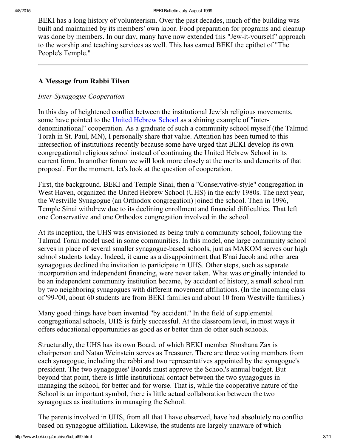BEKI has a long history of volunteerism. Over the past decades, much of the building was built and maintained by its members' own labor. Food preparation for programs and cleanup was done by members. In our day, many have now extended this "Jew-it-yourself" approach to the worship and teaching services as well. This has earned BEKI the epithet of "The People's Temple."

### <span id="page-2-0"></span>A Message from Rabbi Tilsen

#### Inter-Synagogue Cooperation

In this day of heightened conflict between the institutional Jewish religious movements, some have pointed to the United [Hebrew](http://www.beki.org/archive/youth.html#UHS) School as a shining example of "interdenominational" cooperation. As a graduate of such a community school myself (the Talmud Torah in St. Paul, MN), I personally share that value. Attention has been turned to this intersection of institutions recently because some have urged that BEKI develop its own congregational religious school instead of continuing the United Hebrew School in its current form. In another forum we will look more closely at the merits and demerits of that proposal. For the moment, let's look at the question of cooperation.

First, the background. BEKI and Temple Sinai, then a "Conservative-style" congregation in West Haven, organized the United Hebrew School (UHS) in the early 1980s. The next year, the Westville Synagogue (an Orthodox congregation) joined the school. Then in 1996, Temple Sinai withdrew due to its declining enrollment and financial difficulties. That left one Conservative and one Orthodox congregation involved in the school.

At its inception, the UHS was envisioned as being truly a community school, following the Talmud Torah model used in some communities. In this model, one large community school serves in place of several smaller synagogue-based schools, just as MAKOM serves our high school students today. Indeed, it came as a disappointment that B'nai Jacob and other area synagogues declined the invitation to participate in UHS. Other steps, such as separate incorporation and independent financing, were never taken. What was originally intended to be an independent community institution became, by accident of history, a small school run by two neighboring synagogues with different movement affiliations. (In the incoming class of '99-'00, about 60 students are from BEKI families and about 10 from Westville families.)

Many good things have been invented "by accident." In the field of supplemental congregational schools, UHS is fairly successful. At the classroom level, in most ways it offers educational opportunities as good as or better than do other such schools.

Structurally, the UHS has its own Board, of which BEKI member Shoshana Zax is chairperson and Natan Weinstein serves as Treasurer. There are three voting members from each synagogue, including the rabbi and two representatives appointed by the synagogue's president. The two synagogues' Boards must approve the School's annual budget. But beyond that point, there is little institutional contact between the two synagogues in managing the school, for better and for worse. That is, while the cooperative nature of the School is an important symbol, there is little actual collaboration between the two synagogues as institutions in managing the School.

The parents involved in UHS, from all that I have observed, have had absolutely no conflict based on synagogue affiliation. Likewise, the students are largely unaware of which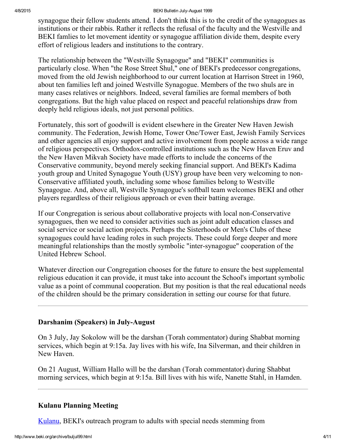synagogue their fellow students attend. I don't think this is to the credit of the synagogues as institutions or their rabbis. Rather it reflects the refusal of the faculty and the Westville and BEKI famlies to let movement identity or synagogue affiliation divide them, despite every effort of religious leaders and institutions to the contrary.

The relationship between the "Westville Synagogue" and "BEKI" communities is particularly close. When "the Rose Street Shul," one of BEKI's predecessor congregations, moved from the old Jewish neighborhood to our current location at Harrison Street in 1960, about ten families left and joined Westville Synagogue. Members of the two shuls are in many cases relatives or neighbors. Indeed, several families are formal members of both congregations. But the high value placed on respect and peaceful relationships draw from deeply held religious ideals, not just personal politics.

Fortunately, this sort of goodwill is evident elsewhere in the Greater New Haven Jewish community. The Federation, Jewish Home, Tower One/Tower East, Jewish Family Services and other agencies all enjoy support and active involvement from people across a wide range of religious perspectives. Orthodox-controlled institutions such as the New Haven Eruv and the New Haven Mikvah Society have made efforts to include the concerns of the Conservative community, beyond merely seeking financial support. And BEKI's Kadima youth group and United Synagogue Youth (USY) group have been very welcoming to non-Conservative affiliated youth, including some whose families belong to Westville Synagogue. And, above all, Westville Synagogue's softball team welcomes BEKI and other players regardless of their religious approach or even their batting average.

If our Congregation is serious about collaborative projects with local non-Conservative synagogues, then we need to consider activities such as joint adult education classes and social service or social action projects. Perhaps the Sisterhoods or Men's Clubs of these synagogues could have leading roles in such projects. These could forge deeper and more meaningful relationships than the mostly symbolic "inter-synagogue" cooperation of the United Hebrew School.

Whatever direction our Congregation chooses for the future to ensure the best supplemental religious education it can provide, it must take into account the School's important symbolic value as a point of communal cooperation. But my position is that the real educational needs of the children should be the primary consideration in setting our course for that future.

### <span id="page-3-0"></span>Darshanim (Speakers) in July-August

On 3 July, Jay Sokolow will be the darshan (Torah commentator) during Shabbat morning services, which begin at 9:15a. Jay lives with his wife, Ina Silverman, and their children in New Haven.

On 21 August, William Hallo will be the darshan (Torah commentator) during Shabbat morning services, which begin at 9:15a. Bill lives with his wife, Nanette Stahl, in Hamden.

### <span id="page-3-1"></span>Kulanu Planning Meeting

[Kulanu,](http://www.beki.org/archive/kulanu.html) BEKI's outreach program to adults with special needs stemming from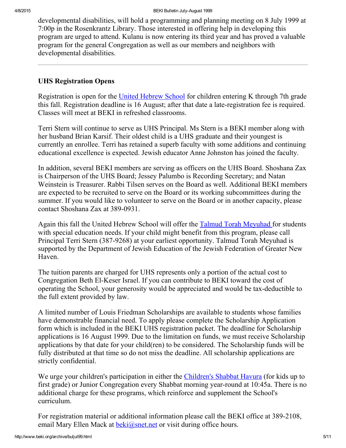developmental disabilities, will hold a programming and planning meeting on 8 July 1999 at 7:00p in the Rosenkrantz Library. Those interested in offering help in developing this program are urged to attend. Kulanu is now entering its third year and has proved a valuable program for the general Congregation as well as our members and neighbors with developmental disabilities.

### <span id="page-4-0"></span>UHS Registration Opens

Registration is open for the United [Hebrew](http://www.beki.org/archive/youth.html#UHS) School for children entering K through 7th grade this fall. Registration deadline is 16 August; after that date a late-registration fee is required. Classes will meet at BEKI in refreshed classrooms.

Terri Stern will continue to serve as UHS Principal. Ms Stern is a BEKI member along with her husband Brian Karsif. Their oldest child is a UHS graduate and their youngest is currently an enrollee. Terri has retained a superb faculty with some additions and continuing educational excellence is expected. Jewish educator Anne Johnston has joined the faculty.

In addition, several BEKI members are serving as officers on the UHS Board. Shoshana Zax is Chairperson of the UHS Board; Jessey Palumbo is Recording Secretary; and Natan Weinstein is Treasurer. Rabbi Tilsen serves on the Board as well. Additional BEKI members are expected to be recruited to serve on the Board or its working subcommittees during the summer. If you would like to volunteer to serve on the Board or in another capacity, please contact Shoshana Zax at 389-0931.

Again this fall the United Hebrew School will offer the Talmud Torah [Meyuhad](http://www.beki.org/archive/youth.html#ttm) for students with special education needs. If your child might benefit from this program, please call Principal Terri Stern (387-9268) at your earliest opportunity. Talmud Torah Meyuhad is supported by the Department of Jewish Education of the Jewish Federation of Greater New Haven.

The tuition parents are charged for UHS represents only a portion of the actual cost to Congregation Beth El-Keser Israel. If you can contribute to BEKI toward the cost of operating the School, your generosity would be appreciated and would be tax-deductible to the full extent provided by law.

A limited number of Louis Friedman Scholarships are available to students whose families have demonstrable financial need. To apply please complete the Scholarship Application form which is included in the BEKI UHS registration packet. The deadline for Scholarship applications is 16 August 1999. Due to the limitation on funds, we must receive Scholarship applications by that date for your child(ren) to be considered. The Scholarship funds will be fully distributed at that time so do not miss the deadline. All scholarship applications are strictly confidential.

We urge your children's participation in either the [Children's](http://www.beki.org/archive/youth.html#cshavura) Shabbat Havura (for kids up to first grade) or Junior Congregation every Shabbat morning year-round at 10:45a. There is no additional charge for these programs, which reinforce and supplement the School's curriculum.

For registration material or additional information please call the BEKI office at 389-2108, email Mary Ellen Mack at  $beki@snet.net$  or visit during office hours.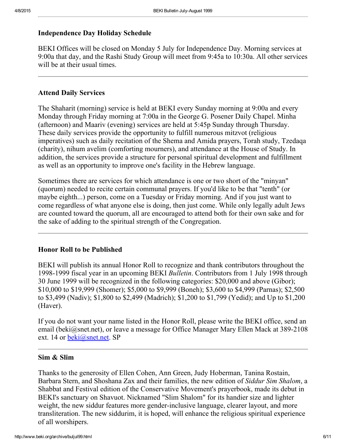#### <span id="page-5-2"></span>Independence Day Holiday Schedule

BEKI Offices will be closed on Monday 5 July for Independence Day. Morning services at 9:00a that day, and the Rashi Study Group will meet from 9:45a to 10:30a. All other services will be at their usual times.

#### <span id="page-5-0"></span>Attend Daily Services

The Shaharit (morning) service is held at BEKI every Sunday morning at 9:00a and every Monday through Friday morning at 7:00a in the George G. Posener Daily Chapel. Minha (afternoon) and Maariv (evening) services are held at 5:45p Sunday through Thursday. These daily services provide the opportunity to fulfill numerous mitzvot (religious imperatives) such as daily recitation of the Shema and Amida prayers, Torah study, Tzedaqa (charity), nihum avelim (comforting mourners), and attendance at the House of Study. In addition, the services provide a structure for personal spiritual development and fulfillment as well as an opportunity to improve one's facility in the Hebrew language.

Sometimes there are services for which attendance is one or two short of the "minyan" (quorum) needed to recite certain communal prayers. If you'd like to be that "tenth" (or maybe eighth...) person, come on a Tuesday or Friday morning. And if you just want to come regardless of what anyone else is doing, then just come. While only legally adult Jews are counted toward the quorum, all are encouraged to attend both for their own sake and for the sake of adding to the spiritual strength of the Congregation.

#### <span id="page-5-1"></span>Honor Roll to be Published

BEKI will publish its annual Honor Roll to recognize and thank contributors throughout the 1998-1999 fiscal year in an upcoming BEKI Bulletin. Contributors from 1 July 1998 through 30 June 1999 will be recognized in the following categories: \$20,000 and above (Gibor); \$10,000 to \$19,999 (Shomer); \$5,000 to \$9,999 (Boneh); \$3,600 to \$4,999 (Parnas); \$2,500 to \$3,499 (Nadiv); \$1,800 to \$2,499 (Madrich); \$1,200 to \$1,799 (Yedid); and Up to \$1,200 (Haver).

If you do not want your name listed in the Honor Roll, please write the BEKI office, send an email (beki@snet.net), or leave a message for Office Manager Mary Ellen Mack at 389-2108 ext. 14 or [beki@snet.net.](mailto:beki@snet.net) SP

#### <span id="page-5-3"></span>Sim & Slim

Thanks to the generosity of Ellen Cohen, Ann Green, Judy Hoberman, Tanina Rostain, Barbara Stern, and Shoshana Zax and their families, the new edition of Siddur Sim Shalom, a Shabbat and Festival edition of the Conservative Movement's prayerbook, made its debut in BEKI's sanctuary on Shavuot. Nicknamed "Slim Shalom" for its handier size and lighter weight, the new siddur features more gender-inclusive language, clearer layout, and more transliteration. The new siddurim, it is hoped, will enhance the religious spiritual experience of all worshipers.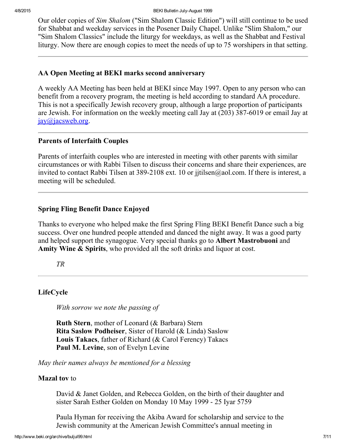Our older copies of Sim Shalom ("Sim Shalom Classic Edition") will still continue to be used for Shabbat and weekday services in the Posener Daily Chapel. Unlike "Slim Shalom," our "Sim Shalom Classics" include the liturgy for weekdays, as well as the Shabbat and Festival liturgy. Now there are enough copies to meet the needs of up to 75 worshipers in that setting.

### <span id="page-6-0"></span>AA Open Meeting at BEKI marks second anniversary

A weekly AA Meeting has been held at BEKI since May 1997. Open to any person who can benefit from a recovery program, the meeting is held according to standard AA procedure. This is not a specifically Jewish recovery group, although a large proportion of participants are Jewish. For information on the weekly meeting call Jay at (203) 387-6019 or email Jay at [jay@jacsweb.org.](mailto:jay@jacsweb.org)

### <span id="page-6-3"></span>Parents of Interfaith Couples

Parents of interfaith couples who are interested in meeting with other parents with similar circumstances or with Rabbi Tilsen to discuss their concerns and share their experiences, are invited to contact Rabbi Tilsen at 389-2108 ext. 10 or jitilsen@aol.com. If there is interest, a meeting will be scheduled.

### <span id="page-6-2"></span>Spring Fling Benefit Dance Enjoyed

Thanks to everyone who helped make the first Spring Fling BEKI Benefit Dance such a big success. Over one hundred people attended and danced the night away. It was a good party and helped support the synagogue. Very special thanks go to Albert Mastrobuoni and Amity Wine & Spirits, who provided all the soft drinks and liquor at cost.

TR

### <span id="page-6-1"></span>LifeCycle

With sorrow we note the passing of

Ruth Stern, mother of Leonard (& Barbara) Stern Rita Saslow Podheiser, Sister of Harold (& Linda) Saslow Louis Takacs, father of Richard (& Carol Ferency) Takacs Paul M. Levine, son of Evelyn Levine

May their names always be mentioned for a blessing

### **Mazal tov** to

David & Janet Golden, and Rebecca Golden, on the birth of their daughter and sister Sarah Esther Golden on Monday 10 May 1999 25 Iyar 5759

Paula Hyman for receiving the Akiba Award for scholarship and service to the Jewish community at the American Jewish Committee's annual meeting in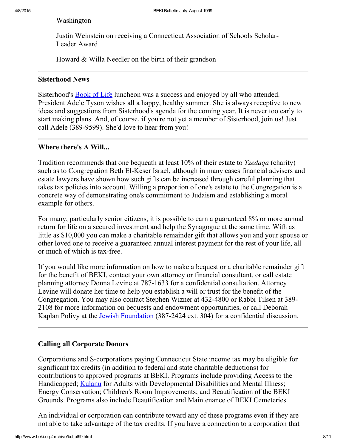Washington

Justin Weinstein on receiving a Connecticut Association of Schools Scholar-Leader Award

Howard & Willa Needler on the birth of their grandson

### <span id="page-7-0"></span>Sisterhood News

Sisterhood's **[Book](http://www.beki.org/archive/sisterhood.html#bookoflife) of Life luncheon** was a success and enjoyed by all who attended. President Adele Tyson wishes all a happy, healthy summer. She is always receptive to new ideas and suggestions from Sisterhood's agenda for the coming year. It is never too early to start making plans. And, of course, if you're not yet a member of Sisterhood, join us! Just call Adele (389-9599). She'd love to hear from you!

### <span id="page-7-2"></span>Where there's A Will...

Tradition recommends that one bequeath at least 10% of their estate to *Tzedaqa* (charity) such as to Congregation Beth El-Keser Israel, although in many cases financial advisers and estate lawyers have shown how such gifts can be increased through careful planning that takes tax policies into account. Willing a proportion of one's estate to the Congregation is a concrete way of demonstrating one's commitment to Judaism and establishing a moral example for others.

For many, particularly senior citizens, it is possible to earn a guaranteed 8% or more annual return for life on a secured investment and help the Synagogue at the same time. With as little as \$10,000 you can make a charitable remainder gift that allows you and your spouse or other loved one to receive a guaranteed annual interest payment for the rest of your life, all or much of which is tax-free.

If you would like more information on how to make a bequest or a charitable remainder gift for the benefit of BEKI, contact your own attorney or financial consultant, or call estate planning attorney Donna Levine at 787-1633 for a confidential consultation. Attorney Levine will donate her time to help you establish a will or trust for the benefit of the Congregation. You may also contact Stephen Wizner at 432-4800 or Rabbi Tilsen at 389-2108 for more information on bequests and endowment opportunities, or call Deborah Kaplan Polivy at the Jewish [Foundation](http://www.jewishnewhaven.org/FOUNDTN.htm) (387-2424 ext. 304) for a confidential discussion.

### <span id="page-7-1"></span>Calling all Corporate Donors

Corporations and S-corporations paying Connecticut State income tax may be eligible for significant tax credits (in addition to federal and state charitable deductions) for contributions to approved programs at BEKI. Programs include providing Access to the Handicapped; [Kulanu](http://www.beki.org/archive/kulanu.html) for Adults with Developmental Disabilities and Mental Illness; Energy Conservation; Children's Room Improvements; and Beautification of the BEKI Grounds. Programs also include Beautification and Maintenance of BEKI Cemeteries.

An individual or corporation can contribute toward any of these programs even if they are not able to take advantage of the tax credits. If you have a connection to a corporation that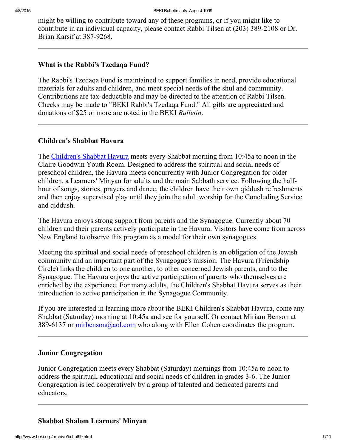might be willing to contribute toward any of these programs, or if you might like to contribute in an individual capacity, please contact Rabbi Tilsen at (203) 389-2108 or Dr. Brian Karsif at 387-9268.

#### <span id="page-8-0"></span>What is the Rabbi's Tzedaqa Fund?

The Rabbi's Tzedaqa Fund is maintained to support families in need, provide educational materials for adults and children, and meet special needs of the shul and community. Contributions are tax-deductible and may be directed to the attention of Rabbi Tilsen. Checks may be made to "BEKI Rabbi's Tzedaqa Fund." All gifts are appreciated and donations of \$25 or more are noted in the BEKI Bulletin.

#### <span id="page-8-2"></span>Children's Shabbat Havura

The [Children's](http://www.beki.org/archive/youth.html#cshavura) Shabbat Havura meets every Shabbat morning from 10:45a to noon in the Claire Goodwin Youth Room. Designed to address the spiritual and social needs of preschool children, the Havura meets concurrently with Junior Congregation for older children, a Learners' Minyan for adults and the main Sabbath service. Following the halfhour of songs, stories, prayers and dance, the children have their own qiddush refreshments and then enjoy supervised play until they join the adult worship for the Concluding Service and qiddush.

The Havura enjoys strong support from parents and the Synagogue. Currently about 70 children and their parents actively participate in the Havura. Visitors have come from across New England to observe this program as a model for their own synagogues.

Meeting the spiritual and social needs of preschool children is an obligation of the Jewish community and an important part of the Synagogue's mission. The Havura (Friendship Circle) links the children to one another, to other concerned Jewish parents, and to the Synagogue. The Havura enjoys the active participation of parents who themselves are enriched by the experience. For many adults, the Children's Shabbat Havura serves as their introduction to active participation in the Synagogue Community.

If you are interested in learning more about the BEKI Children's Shabbat Havura, come any Shabbat (Saturday) morning at 10:45a and see for yourself. Or contact Miriam Benson at 389-6137 or [mirbenson@aol.com](mailto:mirbenson@aol.com) who along with Ellen Cohen coordinates the program.

#### <span id="page-8-3"></span>Junior Congregation

Junior Congregation meets every Shabbat (Saturday) mornings from 10:45a to noon to address the spiritual, educational and social needs of children in grades 3-6. The Junior Congregation is led cooperatively by a group of talented and dedicated parents and educators.

#### <span id="page-8-1"></span>Shabbat Shalom Learners' Minyan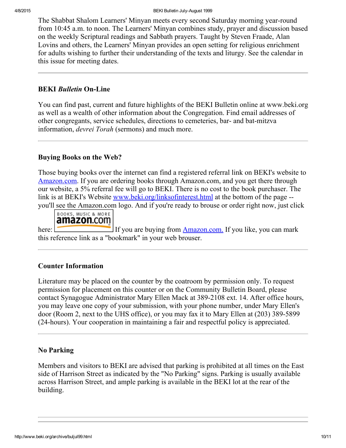The Shabbat Shalom Learners' Minyan meets every second Saturday morning year-round from 10:45 a.m. to noon. The Learners' Minyan combines study, prayer and discussion based on the weekly Scriptural readings and Sabbath prayers. Taught by Steven Fraade, Alan Lovins and others, the Learners' Minyan provides an open setting for religious enrichment for adults wishing to further their understanding of the texts and liturgy. See the calendar in this issue for meeting dates.

### <span id="page-9-1"></span>**BEKI Bulletin On-Line**

You can find past, current and future highlights of the BEKI Bulletin online at www.beki.org as well as a wealth of other information about the Congregation. Find email addresses of other congregants, service schedules, directions to cemeteries, bar- and bat-mitzva information, *devrei Torah* (sermons) and much more.

### <span id="page-9-3"></span>Buying Books on the Web?

Those buying books over the internet can find a registered referral link on BEKI's website to [Amazon.com](http://www.beki.org/archive/linksofinterest.html#amazon). If you are ordering books through Amazon.com, and you get there through our website, a 5% referral fee will go to BEKI. There is no cost to the book purchaser. The link is at BEKI's Website [www.beki.org/linksofinterest.html](http://www.beki.org/archive/www.beki.org/linksofinterest.html) at the bottom of the page -you'll see the Amazon.com logo. And if you're ready to brouse or order right now, just click



here: If you are buying from [Amazon.com.](http://www.amazon.com/exec/obidos/redirect-home/congregabethelke) If you like, you can mark this reference link as a "bookmark" in your web brouser.

### <span id="page-9-0"></span>Counter Information

Literature may be placed on the counter by the coatroom by permission only. To request permission for placement on this counter or on the Community Bulletin Board, please contact Synagogue Administrator Mary Ellen Mack at 389-2108 ext. 14. After office hours, you may leave one copy of your submission, with your phone number, under Mary Ellen's door (Room 2, next to the UHS office), or you may fax it to Mary Ellen at (203) 389-5899 (24hours). Your cooperation in maintaining a fair and respectful policy is appreciated.

### <span id="page-9-2"></span>No Parking

Members and visitors to BEKI are advised that parking is prohibited at all times on the East side of Harrison Street as indicated by the "No Parking" signs. Parking is usually available across Harrison Street, and ample parking is available in the BEKI lot at the rear of the building.